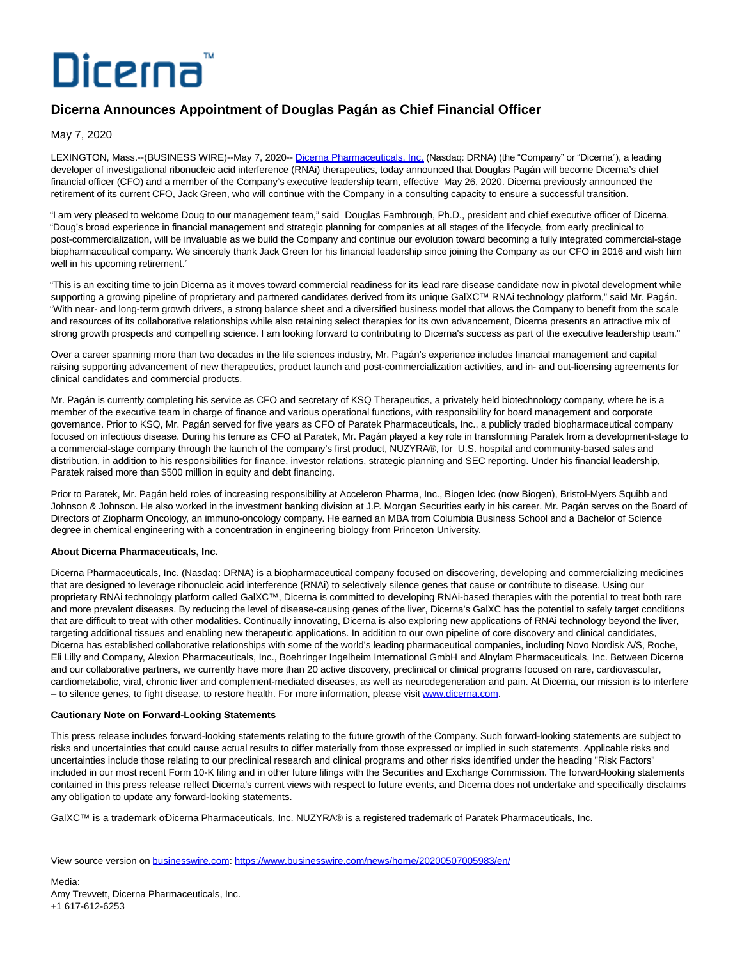## Dicerna

## **Dicerna Announces Appointment of Douglas Pagán as Chief Financial Officer**

May 7, 2020

LEXINGTON, Mass.--(BUSINESS WIRE)--May 7, 2020-- [Dicerna Pharmaceuticals, Inc. \(](https://cts.businesswire.com/ct/CT?id=smartlink&url=http%3A%2F%2Fdicerna.com%2F&esheet=52216933&newsitemid=20200507005983&lan=en-US&anchor=Dicerna+Pharmaceuticals%2C+Inc.&index=1&md5=3c77746b4eaf2639dc435f384d04f75f)Nasdaq: DRNA) (the "Company" or "Dicerna"), a leading developer of investigational ribonucleic acid interference (RNAi) therapeutics, today announced that Douglas Pagán will become Dicerna's chief financial officer (CFO) and a member of the Company's executive leadership team, effective May 26, 2020. Dicerna previously announced the retirement of its current CFO, Jack Green, who will continue with the Company in a consulting capacity to ensure a successful transition.

"I am very pleased to welcome Doug to our management team," said Douglas Fambrough, Ph.D., president and chief executive officer of Dicerna. "Doug's broad experience in financial management and strategic planning for companies at all stages of the lifecycle, from early preclinical to post-commercialization, will be invaluable as we build the Company and continue our evolution toward becoming a fully integrated commercial-stage biopharmaceutical company. We sincerely thank Jack Green for his financial leadership since joining the Company as our CFO in 2016 and wish him well in his upcoming retirement."

"This is an exciting time to join Dicerna as it moves toward commercial readiness for its lead rare disease candidate now in pivotal development while supporting a growing pipeline of proprietary and partnered candidates derived from its unique GalXC™ RNAi technology platform," said Mr. Pagán. "With near- and long-term growth drivers, a strong balance sheet and a diversified business model that allows the Company to benefit from the scale and resources of its collaborative relationships while also retaining select therapies for its own advancement, Dicerna presents an attractive mix of strong growth prospects and compelling science. I am looking forward to contributing to Dicerna's success as part of the executive leadership team."

Over a career spanning more than two decades in the life sciences industry, Mr. Pagán's experience includes financial management and capital raising supporting advancement of new therapeutics, product launch and post-commercialization activities, and in- and out-licensing agreements for clinical candidates and commercial products.

Mr. Pagán is currently completing his service as CFO and secretary of KSQ Therapeutics, a privately held biotechnology company, where he is a member of the executive team in charge of finance and various operational functions, with responsibility for board management and corporate governance. Prior to KSQ, Mr. Pagán served for five years as CFO of Paratek Pharmaceuticals, Inc., a publicly traded biopharmaceutical company focused on infectious disease. During his tenure as CFO at Paratek, Mr. Pagán played a key role in transforming Paratek from a development-stage to a commercial-stage company through the launch of the company's first product, NUZYRA®, for U.S. hospital and community-based sales and distribution, in addition to his responsibilities for finance, investor relations, strategic planning and SEC reporting. Under his financial leadership, Paratek raised more than \$500 million in equity and debt financing.

Prior to Paratek, Mr. Pagán held roles of increasing responsibility at Acceleron Pharma, Inc., Biogen Idec (now Biogen), Bristol-Myers Squibb and Johnson & Johnson. He also worked in the investment banking division at J.P. Morgan Securities early in his career. Mr. Pagán serves on the Board of Directors of Ziopharm Oncology, an immuno-oncology company. He earned an MBA from Columbia Business School and a Bachelor of Science degree in chemical engineering with a concentration in engineering biology from Princeton University.

## **About Dicerna Pharmaceuticals, Inc.**

Dicerna Pharmaceuticals, Inc. (Nasdaq: DRNA) is a biopharmaceutical company focused on discovering, developing and commercializing medicines that are designed to leverage ribonucleic acid interference (RNAi) to selectively silence genes that cause or contribute to disease. Using our proprietary RNAi technology platform called GalXC™, Dicerna is committed to developing RNAi-based therapies with the potential to treat both rare and more prevalent diseases. By reducing the level of disease-causing genes of the liver, Dicerna's GalXC has the potential to safely target conditions that are difficult to treat with other modalities. Continually innovating, Dicerna is also exploring new applications of RNAi technology beyond the liver, targeting additional tissues and enabling new therapeutic applications. In addition to our own pipeline of core discovery and clinical candidates, Dicerna has established collaborative relationships with some of the world's leading pharmaceutical companies, including Novo Nordisk A/S, Roche, Eli Lilly and Company, Alexion Pharmaceuticals, Inc., Boehringer Ingelheim International GmbH and Alnylam Pharmaceuticals, Inc. Between Dicerna and our collaborative partners, we currently have more than 20 active discovery, preclinical or clinical programs focused on rare, cardiovascular, cardiometabolic, viral, chronic liver and complement-mediated diseases, as well as neurodegeneration and pain. At Dicerna, our mission is to interfere – to silence genes, to fight disease, to restore health. For more information, please visit [www.dicerna.com.](https://cts.businesswire.com/ct/CT?id=smartlink&url=http%3A%2F%2Fwww.dicerna.com&esheet=52216933&newsitemid=20200507005983&lan=en-US&anchor=www.dicerna.com&index=2&md5=9f58123b592f65fd1573333f4085da03)

## **Cautionary Note on Forward-Looking Statements**

This press release includes forward-looking statements relating to the future growth of the Company. Such forward-looking statements are subject to risks and uncertainties that could cause actual results to differ materially from those expressed or implied in such statements. Applicable risks and uncertainties include those relating to our preclinical research and clinical programs and other risks identified under the heading "Risk Factors" included in our most recent Form 10-K filing and in other future filings with the Securities and Exchange Commission. The forward-looking statements contained in this press release reflect Dicerna's current views with respect to future events, and Dicerna does not undertake and specifically disclaims any obligation to update any forward-looking statements.

GalXC™ is a trademark oDicerna Pharmaceuticals, Inc. NUZYRA® is a registered trademark of Paratek Pharmaceuticals, Inc.

View source version on [businesswire.com:](http://businesswire.com/)<https://www.businesswire.com/news/home/20200507005983/en/>

Media: Amy Trevvett, Dicerna Pharmaceuticals, Inc. +1 617-612-6253